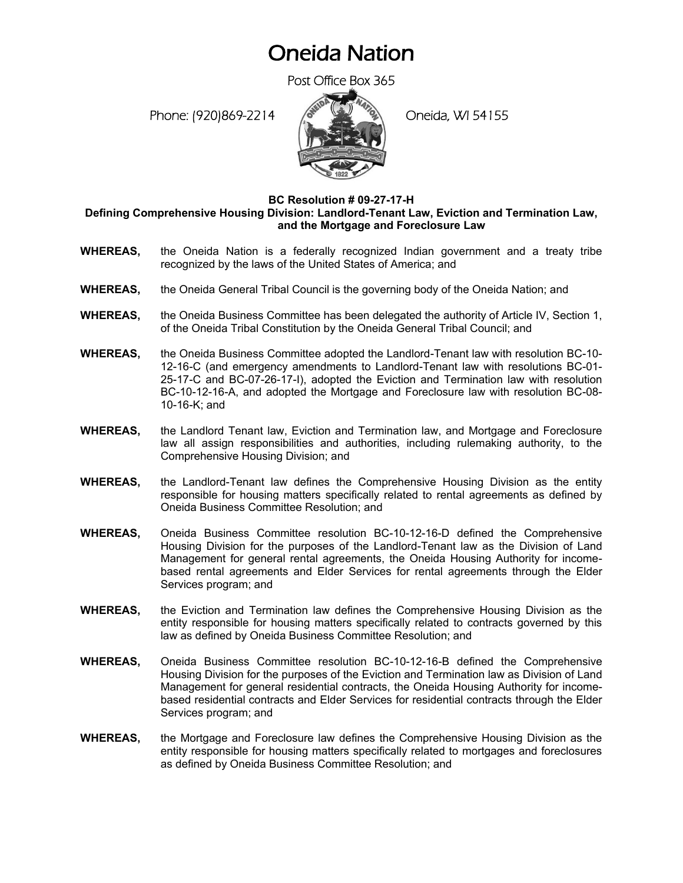## Oneida Nation

Post Office Box 365

Phone: (920)869-2214 (8 April 20 Oneida, WI 54155



## **BC Resolution # 09-27-17-H Defining Comprehensive Housing Division: Landlord-Tenant Law, Eviction and Termination Law, and the Mortgage and Foreclosure Law**

- **WHEREAS,** the Oneida Nation is a federally recognized Indian government and a treaty tribe recognized by the laws of the United States of America; and
- **WHEREAS,** the Oneida General Tribal Council is the governing body of the Oneida Nation; and
- **WHEREAS,** the Oneida Business Committee has been delegated the authority of Article IV, Section 1, of the Oneida Tribal Constitution by the Oneida General Tribal Council; and
- **WHEREAS,** the Oneida Business Committee adopted the Landlord-Tenant law with resolution BC-10- 12-16-C (and emergency amendments to Landlord-Tenant law with resolutions BC-01- 25-17-C and BC-07-26-17-I), adopted the Eviction and Termination law with resolution BC-10-12-16-A, and adopted the Mortgage and Foreclosure law with resolution BC-08- 10-16-K; and
- **WHEREAS,** the Landlord Tenant law, Eviction and Termination law, and Mortgage and Foreclosure law all assign responsibilities and authorities, including rulemaking authority, to the Comprehensive Housing Division; and
- **WHEREAS,** the Landlord-Tenant law defines the Comprehensive Housing Division as the entity responsible for housing matters specifically related to rental agreements as defined by Oneida Business Committee Resolution; and
- **WHEREAS,** Oneida Business Committee resolution BC-10-12-16-D defined the Comprehensive Housing Division for the purposes of the Landlord-Tenant law as the Division of Land Management for general rental agreements, the Oneida Housing Authority for incomebased rental agreements and Elder Services for rental agreements through the Elder Services program; and
- **WHEREAS,** the Eviction and Termination law defines the Comprehensive Housing Division as the entity responsible for housing matters specifically related to contracts governed by this law as defined by Oneida Business Committee Resolution; and
- **WHEREAS,** Oneida Business Committee resolution BC-10-12-16-B defined the Comprehensive Housing Division for the purposes of the Eviction and Termination law as Division of Land Management for general residential contracts, the Oneida Housing Authority for incomebased residential contracts and Elder Services for residential contracts through the Elder Services program; and
- **WHEREAS,** the Mortgage and Foreclosure law defines the Comprehensive Housing Division as the entity responsible for housing matters specifically related to mortgages and foreclosures as defined by Oneida Business Committee Resolution; and